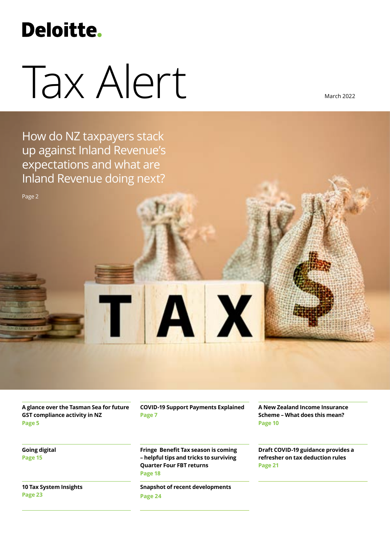# **Deloitte.**

# Tax Alert

March 2022

How do NZ taxpayers stack up against Inland Revenue's expectations and what are Inland Revenue doing next?

**A glance over the Tasman Sea for future GST compliance activity in NZ Page 5**

**Going digital Page 15**

Page 2

**10 Tax System Insights Page 23**

**COVID-19 Support Payments Explained Page 7**

X

**Fringe Benefit Tax season is coming – helpful tips and tricks to surviving Quarter Four FBT returns Page 18**

**Snapshot of recent developments Page 24**

**A New Zealand Income Insurance Scheme – What does this mean? Page 10**

**Draft COVID-19 guidance provides a refresher on tax deduction rules Page 21**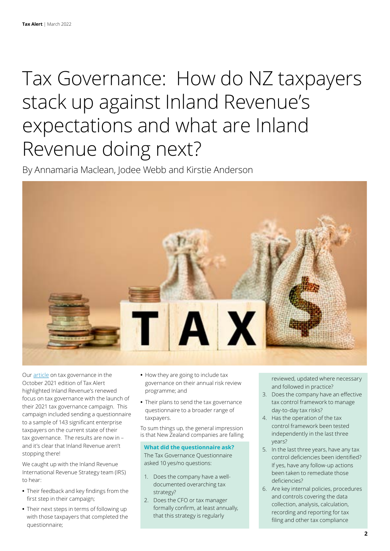# Tax Governance: How do NZ taxpayers stack up against Inland Revenue's expectations and what are Inland Revenue doing next?

By Annamaria Maclean, Jodee Webb and Kirstie Anderson



Our [article](https://www2.deloitte.com/nz/en/pages/tax-alerts/articles/inland-revenue-latest-compliance-campaign.html) on tax governance in the October 2021 edition of Tax Alert highlighted Inland Revenue's renewed focus on tax governance with the launch of their 2021 tax governance campaign. This campaign included sending a questionnaire to a sample of 143 significant enterprise taxpayers on the current state of their tax governance. The results are now in – and it's clear that Inland Revenue aren't stopping there!

We caught up with the Inland Revenue International Revenue Strategy team (IRS) to hear:

- **•** Their feedback and key findings from the first step in their campaign;
- **•** Their next steps in terms of following up with those taxpayers that completed the questionnaire;
- **•** How they are going to include tax governance on their annual risk review programme; and
- **•** Their plans to send the tax governance questionnaire to a broader range of taxpayers.

To sum things up, the general impression is that New Zealand companies are falling

**What did the questionnaire ask?** The Tax Governance Questionnaire asked 10 yes/no questions:

- 1. Does the company have a welldocumented overarching tax strategy?
- 2. Does the CFO or tax manager formally confirm, at least annually, that this strategy is regularly

reviewed, updated where necessary and followed in practice?

- 3. Does the company have an effective tax control framework to manage day-to-day tax risks?
- 4. Has the operation of the tax control framework been tested independently in the last three years?
- 5. In the last three years, have any tax control deficiencies been identified? If yes, have any follow-up actions been taken to remediate those deficiencies?
- 6. Are key internal policies, procedures and controls covering the data collection, analysis, calculation, recording and reporting for tax filing and other tax compliance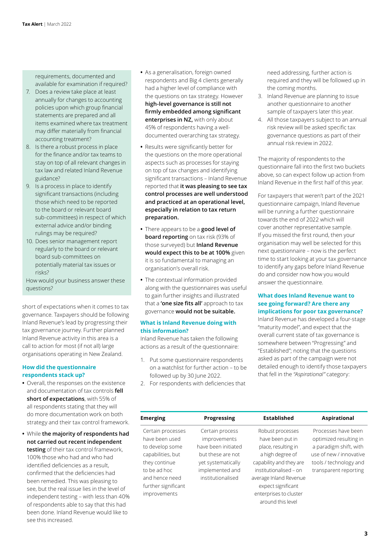requirements, documented and available for examination if required?

- 7. Does a review take place at least annually for changes to accounting policies upon which group financial statements are prepared and all items examined where tax treatment may differ materially from financial accounting treatment?
- 8. Is there a robust process in place for the finance and/or tax teams to stay on top of all relevant changes in tax law and related Inland Revenue guidance?
- 9. Is a process in place to identify significant transactions (including those which need to be reported to the board or relevant board sub-committees) in respect of which external advice and/or binding rulings may be required?
- 10. Does senior management report regularly to the board or relevant board sub-committees on potentially material tax issues or risks?

How would your business answer these questions?

short of expectations when it comes to tax governance. Taxpayers should be following Inland Revenue's lead by progressing their tax governance journey. Further planned Inland Revenue activity in this area is a call to action for most (if not all) large organisations operating in New Zealand.

# **How did the questionnaire respondents stack up?**

- **•** Overall, the responses on the existence and documentation of tax controls **fell short of expectations**, with 55% of all respondents stating that they will do more documentation work on both strategy and their tax control framework.
- **•** While **the majority of respondents had not carried out recent independent testing** of their tax control framework, 100% those who had and who had identified deficiencies as a result, confirmed that the deficiencies had been remedied. This was pleasing to see, but the real issue lies in the level of independent testing – with less than 40% of respondents able to say that this had been done. Inland Revenue would like to see this increased.
- **•** As a generalisation, foreign owned respondents and Big 4 clients generally had a higher level of compliance with the questions on tax strategy. However **high-level governance is still not firmly embedded among significant enterprises in NZ,** with only about 45% of respondents having a welldocumented overarching tax strategy.
- **•** Results were significantly better for the questions on the more operational aspects such as processes for staying on top of tax changes and identifying significant transactions – Inland Revenue reported that **it was pleasing to see tax control processes are well understood and practiced at an operational level, especially in relation to tax return preparation.**
- **•** There appears to be a **good level of board reporting** on tax risk (93% of those surveyed) but **Inland Revenue would expect this to be at 100%** given it is so fundamental to managing an organisation's overall risk.
- **•** The contextual information provided along with the questionnaires was useful to gain further insights and illustrated that a **'one size fits all'** approach to tax governance **would not be suitable.**

#### **What is Inland Revenue doing with this information?**

Inland Revenue has taken the following actions as a result of the questionnaire:

- 1. Put some questionnaire respondents on a watchlist for further action – to be followed up by 30 June 2022.
- 2. For respondents with deficiencies that

need addressing, further action is required and they will be followed up in the coming months.

- 3. Inland Revenue are planning to issue another questionnaire to another sample of taxpayers later this year.
- 4. All those taxpayers subject to an annual risk review will be asked specific tax governance questions as part of their annual risk review in 2022.

The majority of respondents to the questionnaire fall into the first two buckets above, so can expect follow up action from Inland Revenue in the first half of this year.

For taxpayers that weren't part of the 2021 questionnaire campaign, Inland Revenue will be running a further questionnaire towards the end of 2022 which will cover another representative sample. If you missed the first round, then your organisation may well be selected for this next questionnaire – now is the perfect time to start looking at your tax governance to identify any gaps before Inland Revenue do and consider now how you would answer the questionnaire.

# **What does Inland Revenue want to see going forward? Are there any implications for poor tax governance?**

Inland Revenue has developed a four-stage "maturity model", and expect that the overall current state of tax governance is somewhere between "Progressing" and "Established"; noting that the questions asked as part of the campaign were not detailed enough to identify those taxpayers that fell in the *"Aspirational"* category:

| <b>Emerging</b>     | <b>Progressing</b>  | <b>Established</b>      | Aspirational            |
|---------------------|---------------------|-------------------------|-------------------------|
| Certain processes   | Certain process     | Robust processes        | Processes have been     |
| have been used      | improvements        | have been put in        | optimized resulting in  |
| to develop some     | have been initiated | place, resulting in     | a paradigm shift, with  |
| capabilities, but   | but these are not   | a high degree of        | use of new / innovative |
| they continue       | yet systematically  | capability and they are | tools / technology and  |
| to be ad hoc        | implemented and     | institutionalised - on  | transparent reporting   |
| and hence need      | institutionalised   | average Inland Revenue  |                         |
| further significant |                     | expect significant      |                         |
| improvements        |                     | enterprises to cluster  |                         |
|                     |                     | around this level       |                         |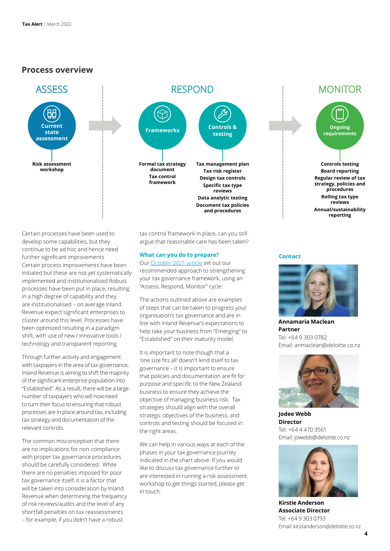# **Process overview**



# **Frameworks Controls & testing Formal tax strategy document Tax control framework Tax management plan Tax risk register Design tax controls Specific tax type reviews Data analytic testing Document tax policies and procedures** RESPOND

Certain processes have been used to develop some capabilities, but they continue to be ad hoc and hence need further significant improvements Certain process improvements have been initiated but these are not yet systematically implemented and institutionalised Robust processes have been put in place, resulting in a high degree of capability and they are institutionalised – on average Inland Revenue expect significant enterprises to cluster around this level. Processes have been optimized resulting in a paradigm shift, with use of new / innovative tools / technology and transparent reporting

Through further activity and engagement with taxpayers in the area of tax governance, Inland Revenue is aiming to shift the majority of the significant enterprise population into "Established". As a result, there will be a large number of taxpayers who will now need to turn their focus to ensuring that robust processes are in place around tax, including tax strategy and documentation of the relevant controls.

The common misconception that there are no implications for non-compliance with proper tax governance procedures should be carefully considered. While there are no penalties imposed for poor tax governance itself, it is a factor that will be taken into consideration by Inland Revenue when determining the frequency of risk reviews/audits and the level of any shortfall penalties on tax reassessments – for example, if you didn't have a robust

tax control framework in place, can you still argue that reasonable care has been taken?

#### **What can you do to prepare?**

Our [October 2021 article](https://www2.deloitte.com/nz/en/pages/tax-alerts/articles/inland-revenue-latest-compliance-campaign.html) set out our recommended approach to strengthening your tax governance framework, using an "Assess, Respond, Monitor" cycle:

The actions outlined above are examples of steps that can be taken to progress your organisation's tax governance and are in line with Inland Revenue's expectations to help take your business from "Emerging" to "Established" on their maturity model.

It is important to note though that a 'one size fits all' doesn't lend itself to tax governance – it is important to ensure that policies and documentation are fit for purpose and specific to the New Zealand business to ensure they achieve the objective of managing business risk. Tax strategies should align with the overall strategic objectives of the business, and controls and testing should be focused in the right areas.

We can help in various ways at each of the phases in your tax governance journey indicated in the chart above. If you would like to discuss tax governance further or are interested in running a risk assessment workshop to get things started, please get in touch.

#### **Contact**



**Annamaria Maclean Partner** Tel: +64 9 303 0782 Email: anmaclean@deloitte.co.nz



**Jodee Webb Director** Tel: +64 4 470 3561 Email: jowebb@deloitte.co.nz



**Kirstie Anderson Associate Director** Tel: +64 9 303 0793 Email: kirstanderson@deloitte.co.nz

# **MONITOR**

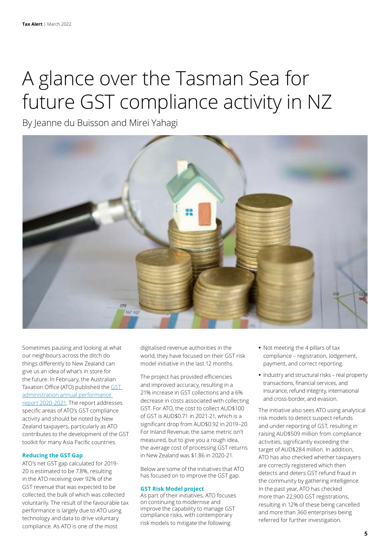# A glance over the Tasman Sea for future GST compliance activity in NZ

By Jeanne du Buisson and Mirei Yahagi



Sometimes pausing and looking at what our neighbours across the ditch do things differently to New Zealand can give us an idea of what's in store for the future. In February, the Australian Taxation Office (ATO) published the [GST](https://www.ato.gov.au/About-ATO/Commitments-and-reporting/In-detail/GST-administration/GST-administration-annual-performance-report-2020-21/)  [administration annual performance](https://www.ato.gov.au/About-ATO/Commitments-and-reporting/In-detail/GST-administration/GST-administration-annual-performance-report-2020-21/)  [report 2020-2021.](https://www.ato.gov.au/About-ATO/Commitments-and-reporting/In-detail/GST-administration/GST-administration-annual-performance-report-2020-21/) The report addresses specific areas of ATO's GST compliance activity and should be noted by New Zealand taxpayers, particularly as ATO contributes to the development of the GST toolkit for many Asia Pacific countries.

# **Reducing the GST Gap**

ATO's net GST gap calculated for 2019- 20 is estimated to be 7.8%, resulting in the ATO receiving over 92% of the GST revenue that was expected to be collected, the bulk of which was collected voluntarily. The result of the favourable tax performance is largely due to ATO using technology and data to drive voluntary compliance. As ATO is one of the most

digitalised revenue authorities in the world, they have focused on their GST risk model initiative in the last 12 months.

The project has provided efficiencies and improved accuracy, resulting in a 21% increase in GST collections and a 6% decrease in costs associated with collecting GST. For ATO, the cost to collect AUD\$100 of GST is AUD\$0.71 in 2021-21, which is a significant drop from AUD\$0.92 in 2019–20. For Inland Revenue, the same metric isn't measured, but to give you a rough idea, the average cost of processing GST returns in New Zealand was \$1.86 in 2020-21.

Below are some of the initiatives that ATO has focused on to improve the GST gap.

#### **GST Risk Model project**

As part of their initiatives, ATO focuses on continuing to modernise and improve the capability to manage GST compliance risks, with contemporary risk models to mitigate the following:

- **•** Not meeting the 4 pillars of tax compliance – registration, lodgement, payment, and correct reporting.
- **•** Industry and structural risks real property transactions, financial services, and insurance, refund integrity, international and cross-border, and evasion.

The initiative also sees ATO using analytical risk models to detect suspect refunds and under-reporting of GST, resulting in raising AUD\$509 million from compliance activities, significantly exceeding the target of AUD\$284 million. In addition, ATO has also checked whether taxpayers are correctly registered which then detects and deters GST refund fraud in the community by gathering intelligence. In the past year, ATO has checked more than 22,900 GST registrations, resulting in 12% of these being cancelled and more than 360 enterprises being referred for further investigation.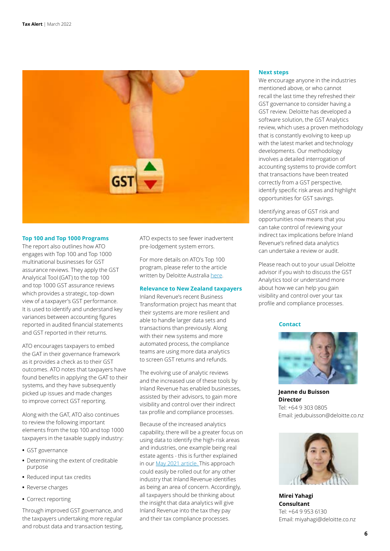

#### **Top 100 and Top 1000 Programs**

The report also outlines how ATO engages with Top 100 and Top 1000 multinational businesses for GST assurance reviews. They apply the GST Analytical Tool (GAT) to the top 100 and top 1000 GST assurance reviews which provides a strategic, top-down view of a taxpayer's GST performance. It is used to identify and understand key variances between accounting figures reported in audited financial statements and GST reported in their returns.

ATO encourages taxpayers to embed the GAT in their governance framework as it provides a check as to their GST outcomes. ATO notes that taxpayers have found benefits in applying the GAT to their systems, and they have subsequently picked up issues and made changes to improve correct GST reporting.

Along with the GAT, ATO also continues to review the following important elements from the top 100 and top 1000 taxpayers in the taxable supply industry:

- **•** GST governance
- **•** Determining the extent of creditable purpose
- **•** Reduced input tax credits
- **•** Reverse charges
- **•** Correct reporting

Through improved GST governance, and the taxpayers undertaking more regular and robust data and transaction testing, ATO expects to see fewer inadvertent pre-lodgement system errors.

For more details on ATO's Top 100 program, please refer to the article written by Deloitte Australia [here](https://www.taxathand.com/article/22861/Australia/2022/Top-100-taxpayers-Future-engagement-with-ATO-after-initial-GST-assurance-review).

#### **Relevance to New Zealand taxpayers**

Inland Revenue's recent Business Transformation project has meant that their systems are more resilient and able to handle larger data sets and transactions than previously. Along with their new systems and more automated process, the compliance teams are using more data analytics to screen GST returns and refunds.

The evolving use of analytic reviews and the increased use of these tools by Inland Revenue has enabled businesses, assisted by their advisors, to gain more visibility and control over their indirect tax profile and compliance processes.

Because of the increased analytics capability, there will be a greater focus on using data to identify the high-risk areas and industries, one example being real estate agents - this is further explained in our [May 2021 article.](https://www2.deloitte.com/nz/en/pages/tax-alerts/articles/data-analytics-inland-revenue-loves-it.html) This approach could easily be rolled out for any other industry that Inland Revenue identifies as being an area of concern. Accordingly, all taxpayers should be thinking about the insight that data analytics will give Inland Revenue into the tax they pay and their tax compliance processes.

#### **Next steps**

We encourage anyone in the industries mentioned above, or who cannot recall the last time they refreshed their GST governance to consider having a GST review. Deloitte has developed a software solution, the GST Analytics review, which uses a proven methodology that is constantly evolving to keep up with the latest market and technology developments. Our methodology involves a detailed interrogation of accounting systems to provide comfort that transactions have been treated correctly from a GST perspective, identify specific risk areas and highlight opportunities for GST savings.

Identifying areas of GST risk and opportunities now means that you can take control of reviewing your indirect tax implications before Inland Revenue's refined data analytics can undertake a review or audit.

Please reach out to your usual Deloitte advisor if you wish to discuss the GST Analytics tool or understand more about how we can help you gain visibility and control over your tax profile and compliance processes.

#### **Contact**



**Jeanne du Buisson Director**  Tel: +64 9 303 0805 Email: jedubuisson@deloitte.co.nz



**Mirei Yahagi Consultant** Tel: +64 9 953 6130 Email: miyahagi@deloitte.co.nz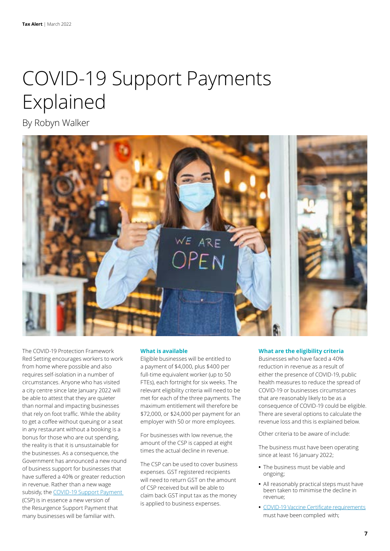# COVID-19 Support Payments Explained

By Robyn Walker



The COVID-19 Protection Framework Red Setting encourages workers to work from home where possible and also requires self-isolation in a number of circumstances. Anyone who has visited a city centre since late January 2022 will be able to attest that they are quieter than normal and impacting businesses that rely on foot traffic. While the ability to get a coffee without queuing or a seat in any restaurant without a booking is a bonus for those who are out spending, the reality is that it is unsustainable for the businesses. As a consequence, the Government has announced a new round of business support for businesses that have suffered a 40% or greater reduction in revenue. Rather than a new wage subsidy, the [COVID-19 Support Payment](https://www.ird.govt.nz/covid-19/business-and-organisations/covid-19-support-payment)  (CSP) is in essence a new version of the Resurgence Support Payment that many businesses will be familiar with.

#### **What is available**

Eligible businesses will be entitled to a payment of \$4,000, plus \$400 per full-time equivalent worker (up to 50 FTEs), each fortnight for six weeks. The relevant eligibility criteria will need to be met for each of the three payments. The maximum entitlement will therefore be \$72,000, or \$24,000 per payment for an employer with 50 or more employees.

For businesses with low revenue, the amount of the CSP is capped at eight times the actual decline in revenue.

The CSP can be used to cover business expenses. GST registered recipients will need to return GST on the amount of CSP received but will be able to claim back GST input tax as the money is applied to business expenses.

#### **What are the eligibility criteria**

Businesses who have faced a 40% reduction in revenue as a result of either the presence of COVID-19, public health measures to reduce the spread of COVID-19 or businesses circumstances that are reasonably likely to be as a consequence of COVID-19 could be eligible. There are several options to calculate the revenue loss and this is explained below.

Other criteria to be aware of include:

The business must have been operating since at least 16 January 2022;

- **•** The business must be viable and ongoing;
- **•** All reasonably practical steps must have been taken to minimise the decline in revenue;
- **•** C[OVID-19 Vaccine Certificate requirements](https://www.legislation.govt.nz/regulation/public/2021/0386/latest/LMS563461.html) must have been complied with;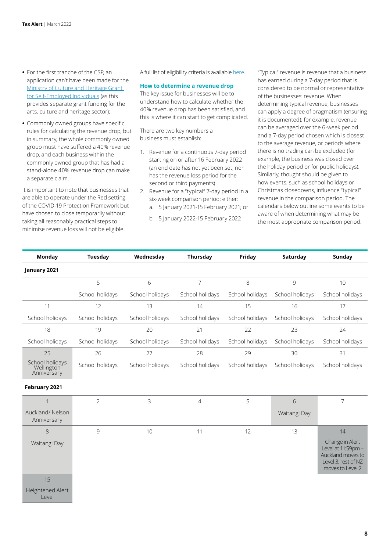- **•** For the first tranche of the CSP, an application can't have been made for the [Ministry of Culture and Heritage Grant](http://Ministry of Culture and Heritage Grant for Self-Employed Individuals)  [for Self-Employed Individuals](http://Ministry of Culture and Heritage Grant for Self-Employed Individuals) (as this provides separate grant funding for the arts, culture and heritage sector);
- **•** Commonly owned groups have specific rules for calculating the revenue drop, but in summary, the whole commonly owned group must have suffered a 40% revenue drop, and each business within the commonly owned group that has had a stand-alone 40% revenue drop can make a separate claim.

It is important to note that businesses that are able to operate under the Red setting of the COVID-19 Protection Framework but have chosen to close temporarily without taking all reasonably practical steps to minimise revenue loss will not be eligible.

A full list of eligibility criteria is available [here](https://www.ird.govt.nz/covid-19/business-and-organisations/covid-19-support-payment/eligibility-for-the-csp).

#### **How to determine a revenue drop**

The key issue for businesses will be to understand how to calculate whether the 40% revenue drop has been satisfied, and this is where it can start to get complicated.

There are two key numbers a business must establish:

- 1. Revenue for a continuous 7-day period starting on or after 16 February 2022 (an end date has not yet been set, nor has the revenue loss period for the second or third payments)
- 2. Revenue for a "typical" 7-day period in a six-week comparison period; either:
	- a. 5 January 2021-15 February 2021; or
	- b. 5 January 2022-15 February 2022

"Typical" revenue is revenue that a business has earned during a 7-day period that is considered to be normal or representative of the businesses' revenue. When determining typical revenue, businesses can apply a degree of pragmatism (ensuring it is documented); for example, revenue can be averaged over the 6-week period and a 7-day period chosen which is closest to the average revenue, or periods where there is no trading can be excluded (for example, the business was closed over the holiday period or for public holidays). Similarly, thought should be given to how events, such as school holidays or Christmas closedowns, influence "typical" revenue in the comparison period. The calendars below outline some events to be aware of when determining what may be the most appropriate comparison period.

| Monday                                       | Tuesday         | Wednesday       | Thursday        | Friday          | Saturday        | Sunday                                                                                                |
|----------------------------------------------|-----------------|-----------------|-----------------|-----------------|-----------------|-------------------------------------------------------------------------------------------------------|
| January 2021                                 |                 |                 |                 |                 |                 |                                                                                                       |
|                                              | 5               | 6               | $\overline{7}$  | 8               | 9               | 10                                                                                                    |
|                                              | School holidays | School holidays | School holidays | School holidays | School holidays | School holidays                                                                                       |
| 11                                           | 12              | 13              | 14              | 15              | 16              | 17                                                                                                    |
| School holidays                              | School holidays | School holidays | School holidays | School holidays | School holidays | School holidays                                                                                       |
| 18                                           | 19              | 20              | 21              | 22              | 23              | 24                                                                                                    |
| School holidays                              | School holidays | School holidays | School holidays | School holidays | School holidays | School holidays                                                                                       |
| 25                                           | 26              | 27              | 28              | 29              | 30              | 31                                                                                                    |
| School holidays<br>Wellington<br>Anniversary | School holidays | School holidays | School holidays | School holidays | School holidays | School holidays                                                                                       |
| February 2021                                |                 |                 |                 |                 |                 |                                                                                                       |
| 1                                            | $\overline{2}$  | 3               | $\overline{4}$  | 5               | 6               | $\overline{7}$                                                                                        |
| Auckland/Nelson<br>Anniversary               |                 |                 |                 |                 | Waitangi Day    |                                                                                                       |
| 8                                            | 9               | 10              | 11              | 12              | 13              | 14                                                                                                    |
| Waitangi Day                                 |                 |                 |                 |                 |                 | Change in Alert<br>Level at 11:59pm -<br>Auckland moves to<br>Level 3, rest of NZ<br>moves to Level 2 |
| 15                                           |                 |                 |                 |                 |                 |                                                                                                       |

Heightened Alert Level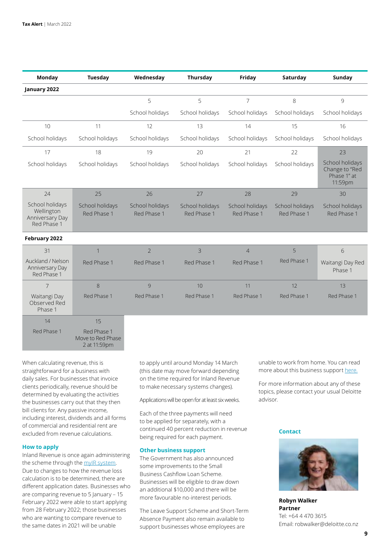| <b>Monday</b>                                                   | <b>Tuesday</b>                                   | Wednesday                      | Thursday                       | Friday                         | Saturday                       | <b>Sunday</b>                                               |
|-----------------------------------------------------------------|--------------------------------------------------|--------------------------------|--------------------------------|--------------------------------|--------------------------------|-------------------------------------------------------------|
| January 2022                                                    |                                                  |                                |                                |                                |                                |                                                             |
|                                                                 |                                                  | 5                              | 5                              | $\overline{7}$                 | 8                              | 9                                                           |
|                                                                 |                                                  | School holidays                | School holidays                | School holidays                | School holidays                | School holidays                                             |
| 10                                                              | 11                                               | 12                             | 13                             | 14                             | 15                             | 16                                                          |
| School holidays                                                 | School holidays                                  | School holidays                | School holidays                | School holidays                | School holidays                | School holidays                                             |
| 17                                                              | 18                                               | 19                             | 20                             | 21                             | 22                             | 23                                                          |
| School holidays                                                 | School holidays                                  | School holidays                | School holidays                | School holidays                | School holidays                | School holidays<br>Change to "Red<br>Phase 1" at<br>11:59pm |
| 24                                                              | 25                                               | 26                             | 27                             | 28                             | 29                             | 30                                                          |
| School holidays<br>Wellington<br>Anniversary Day<br>Red Phase 1 | School holidays<br>Red Phase 1                   | School holidays<br>Red Phase 1 | School holidays<br>Red Phase 1 | School holidays<br>Red Phase 1 | School holidays<br>Red Phase 1 | School holidays<br>Red Phase 1                              |
| February 2022                                                   |                                                  |                                |                                |                                |                                |                                                             |
| 31                                                              | 1                                                | $\overline{2}$                 | 3                              | $\overline{4}$                 | 5                              | 6                                                           |
| Auckland / Nelson<br>Anniversary Day<br>Red Phase 1             | Red Phase 1                                      | Red Phase 1                    | Red Phase 1                    | Red Phase 1                    | Red Phase 1                    | Waitangi Day Red<br>Phase 1                                 |
| $\overline{7}$                                                  | 8                                                | 9                              | 10                             | 11                             | 12                             | 13                                                          |
| Waitangi Day<br>Observed Red<br>Phase 1                         | Red Phase 1                                      | Red Phase 1                    | Red Phase 1                    | Red Phase 1                    | Red Phase 1                    | Red Phase 1                                                 |
| 14                                                              | 15                                               |                                |                                |                                |                                |                                                             |
| Red Phase 1                                                     | Red Phase 1<br>Move to Red Phase<br>2 at 11:59pm |                                |                                |                                |                                |                                                             |

When calculating revenue, this is straightforward for a business with daily sales. For businesses that invoice clients periodically, revenue should be determined by evaluating the activities the businesses carry out that they then bill clients for. Any passive income, including interest, dividends and all forms of commercial and residential rent are excluded from revenue calculations.

# **How to apply**

Inland Revenue is once again administering the scheme through the [myIR system.](https://www.ird.govt.nz/covid-19/business-and-organisations/covid-19-support-payment/apply-for-the-covid-19-support-payment) Due to changes to how the revenue loss calculation is to be determined, there are different application dates. Businesses who are comparing revenue to 5 January – 15 February 2022 were able to start applying from 28 February 2022; those businesses who are wanting to compare revenue to the same dates in 2021 will be unable

to apply until around Monday 14 March (this date may move forward depending on the time required for Inland Revenue to make necessary systems changes).

Applications will be open for at least six weeks.

Each of the three payments will need to be applied for separately, with a continued 40 percent reduction in revenue being required for each payment.

#### **Other business support**

The Government has also announced some improvements to the Small Business Cashflow Loan Scheme. Businesses will be eligible to draw down an additional \$10,000 and there will be more favourable no-interest periods.

The Leave Support Scheme and Short-Term Absence Payment also remain available to support businesses whose employees are

unable to work from home. You can read more about this business support [here.](https://www2.deloitte.com/nz/en/pages/tax-alerts/articles/isolating-staff-drive-entitlements-for-leave-support-scheme-and-short-term-absence-payment.html)

For more information about any of these topics, please contact your usual Deloitte advisor.

#### **Contact**



**Robyn Walker Partner** Tel: +64 4 470 3615 Email: robwalker@deloitte.co.nz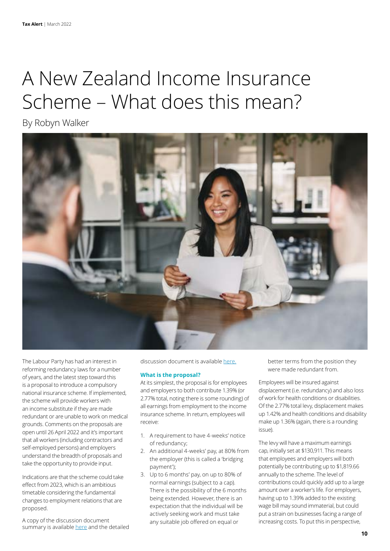# A New Zealand Income Insurance Scheme – What does this mean?

By Robyn Walker



The Labour Party has had an interest in reforming redundancy laws for a number of years, and the latest step toward this is a proposal to introduce a compulsory national insurance scheme. If implemented, the scheme will provide workers with an income substitute if they are made redundant or are unable to work on medical grounds. Comments on the proposals are open until 26 April 2022 and it's important that all workers (including contractors and self-employed persons) and employers understand the breadth of proposals and take the opportunity to provide input.

Indications are that the scheme could take effect from 2023, which is an ambitious timetable considering the fundamental changes to employment relations that are proposed.

A copy of the discussion document summary is available [here](https://www.mbie.govt.nz/dmsdocument/18669-a-new-zealand-income-insurance-scheme-summary-booklet) and the detailed discussion document is available [here.](https://www.mbie.govt.nz/dmsdocument/18666-a-new-zealand-income-insurance-scheme-a-discussion-document)

#### **What is the proposal?**

At its simplest, the proposal is for employees and employers to both contribute 1.39% (or 2.77% total, noting there is some rounding) of all earnings from employment to the income insurance scheme. In return, employees will receive:

- 1. A requirement to have 4-weeks' notice of redundancy;
- 2. An additional 4-weeks' pay, at 80% from the employer (this is called a 'bridging payment');
- 3. Up to 6 months' pay, on up to 80% of normal earnings (subject to a cap). There is the possibility of the 6 months being extended. However, there is an expectation that the individual will be actively seeking work and must take any suitable job offered on equal or

better terms from the position they were made redundant from.

Employees will be insured against displacement (i.e. redundancy) and also loss of work for health conditions or disabilities. Of the 2.77% total levy, displacement makes up 1.42% and health conditions and disability make up 1.36% (again, there is a rounding issue).

The levy will have a maximum earnings cap, initially set at \$130,911. This means that employees and employers will both potentially be contributing up to \$1,819.66 annually to the scheme. The level of contributions could quickly add up to a large amount over a worker's life. For employers, having up to 1.39% added to the existing wage bill may sound immaterial, but could put a strain on businesses facing a range of increasing costs. To put this in perspective,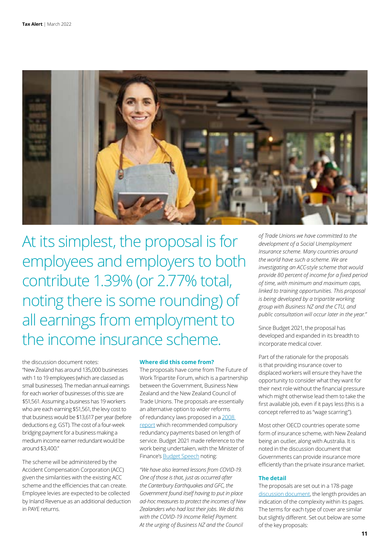

At its simplest, the proposal is for employees and employers to both contribute 1.39% (or 2.77% total, noting there is some rounding) of all earnings from employment to the income insurance scheme.

the discussion document notes: "New Zealand has around 135,000 businesses with 1 to 19 employees (which are classed as small businesses). The median annual earnings for each worker of businesses of this size are \$51,561. Assuming a business has 19 workers who are each earning \$51,561, the levy cost to that business would be \$13,617 per year (before deductions e.g. GST). The cost of a four-week bridging payment for a business making a medium income earner redundant would be around \$3,400."

The scheme will be administered by the Accident Compensation Corporation (ACC) given the similarities with the existing ACC scheme and the efficiencies that can create. Employee levies are expected to be collected by Inland Revenue as an additional deduction in PAYE returns.

#### **Where did this come from?**

The proposals have come from The Future of Work Tripartite Forum, which is a partnership between the Government, Business New Zealand and the New Zealand Council of Trade Unions. The proposals are essentially an alternative option to wider reforms of redundancy laws proposed in a [2008](https://thehub.swa.govt.nz/assets/documents/Report%20of%20the%20Public%20Advisory%20Group%20on%20Restructuring%20and%20Redundancy.pdf)  [report](https://thehub.swa.govt.nz/assets/documents/Report%20of%20the%20Public%20Advisory%20Group%20on%20Restructuring%20and%20Redundancy.pdf) which recommended compulsory redundancy payments based on length of service. Budget 2021 made reference to the work being undertaken, with the Minister of Finance's [Budget Speech](https://www.treasury.govt.nz/sites/default/files/2021-05/b21-speech.pdf) noting:

*"We have also learned lessons from COVID-19. One of those is that, just as occurred after the Canterbury Earthquakes and GFC, the Government found itself having to put in place ad-hoc measures to protect the incomes of New Zealanders who had lost their jobs. We did this with the COVID-19 Income Relief Payment. At the urging of Business NZ and the Council* 

*of Trade Unions we have committed to the development of a Social Unemployment Insurance scheme. Many countries around the world have such a scheme. We are investigating an ACC-style scheme that would provide 80 percent of income for a fixed period of time, with minimum and maximum caps, linked to training opportunities. This proposal is being developed by a tripartite working group with Business NZ and the CTU, and public consultation will occur later in the year."*

Since Budget 2021, the proposal has developed and expanded in its breadth to incorporate medical cover.

Part of the rationale for the proposals is that providing insurance cover to displaced workers will ensure they have the opportunity to consider what they want for their next role without the financial pressure which might otherwise lead them to take the first available job, even if it pays less (this is a concept referred to as "wage scarring").

Most other OECD countries operate some form of insurance scheme, with New Zealand being an outlier, along with Australia. It is noted in the discussion document that Governments can provide insurance more efficiently than the private insurance market.

#### **The detail**

The proposals are set out in a 178-page [discussion document](https://www.mbie.govt.nz/dmsdocument/18666-a-new-zealand-income-insurance-scheme-a-discussion-document), the length provides an indication of the complexity within its pages. The terms for each type of cover are similar but slightly different. Set out below are some of the key proposals: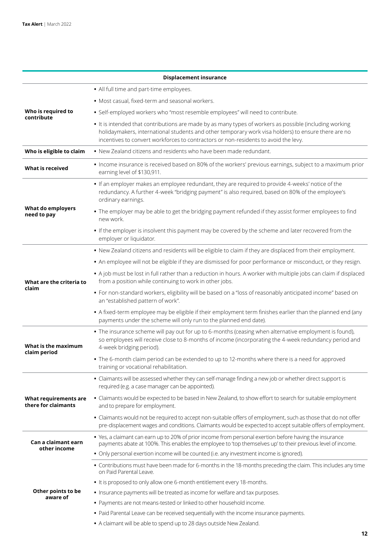| <b>Displacement insurance</b>                |                                                                                                                                                                                                                                                                                                       |  |  |  |
|----------------------------------------------|-------------------------------------------------------------------------------------------------------------------------------------------------------------------------------------------------------------------------------------------------------------------------------------------------------|--|--|--|
|                                              | • All full time and part-time employees.                                                                                                                                                                                                                                                              |  |  |  |
|                                              | · Most casual, fixed-term and seasonal workers.                                                                                                                                                                                                                                                       |  |  |  |
| Who is required to<br>contribute             | · Self-employed workers who "most resemble employees" will need to contribute.                                                                                                                                                                                                                        |  |  |  |
|                                              | • It is intended that contributions are made by as many types of workers as possible (including working<br>holidaymakers, international students and other temporary work visa holders) to ensure there are no<br>incentives to convert workforces to contractors or non-residents to avoid the levy. |  |  |  |
| Who is eligible to claim                     | • New Zealand citizens and residents who have been made redundant.                                                                                                                                                                                                                                    |  |  |  |
| What is received                             | . Income insurance is received based on 80% of the workers' previous earnings, subject to a maximum prior<br>earning level of \$130,911.                                                                                                                                                              |  |  |  |
| What do employers<br>need to pay             | . If an employer makes an employee redundant, they are required to provide 4-weeks' notice of the<br>redundancy. A further 4-week "bridging payment" is also required, based on 80% of the employee's<br>ordinary earnings.                                                                           |  |  |  |
|                                              | . The employer may be able to get the bridging payment refunded if they assist former employees to find<br>new work.                                                                                                                                                                                  |  |  |  |
|                                              | . If the employer is insolvent this payment may be covered by the scheme and later recovered from the<br>employer or liquidator.                                                                                                                                                                      |  |  |  |
|                                              | . New Zealand citizens and residents will be eligible to claim if they are displaced from their employment.                                                                                                                                                                                           |  |  |  |
|                                              | . An employee will not be eligible if they are dismissed for poor performance or misconduct, or they resign.                                                                                                                                                                                          |  |  |  |
| What are the criteria to<br>claim            | . A job must be lost in full rather than a reduction in hours. A worker with multiple jobs can claim if displaced<br>from a position while continuing to work in other jobs.                                                                                                                          |  |  |  |
|                                              | · For non-standard workers, eligibility will be based on a "loss of reasonably anticipated income" based on<br>an "established pattern of work".                                                                                                                                                      |  |  |  |
|                                              | . A fixed-term employee may be eligible if their employment term finishes earlier than the planned end (any<br>payments under the scheme will only run to the planned end date).                                                                                                                      |  |  |  |
| What is the maximum<br>claim period          | . The insurance scheme will pay out for up to 6-months (ceasing when alternative employment is found),<br>so employees will receive close to 8-months of income (incorporating the 4-week redundancy period and<br>4-week bridging period).                                                           |  |  |  |
|                                              | • The 6-month claim period can be extended to up to 12-months where there is a need for approved<br>training or vocational rehabilitation.                                                                                                                                                            |  |  |  |
|                                              | · Claimants will be assessed whether they can self-manage finding a new job or whether direct support is<br>required (e.g. a case manager can be appointed).                                                                                                                                          |  |  |  |
| What requirements are<br>there for claimants | · Claimants would be expected to be based in New Zealand, to show effort to search for suitable employment<br>and to prepare for employment.                                                                                                                                                          |  |  |  |
|                                              | · Claimants would not be required to accept non-suitable offers of employment, such as those that do not offer<br>pre-displacement wages and conditions. Claimants would be expected to accept suitable offers of employment.                                                                         |  |  |  |
| Can a claimant earn<br>other income          | . Yes, a claimant can earn up to 20% of prior income from personal exertion before having the insurance<br>payments abate at 100%. This enables the employee to 'top themselves up' to their previous level of income.                                                                                |  |  |  |
|                                              | • Only personal exertion income will be counted (i.e. any investment income is ignored).                                                                                                                                                                                                              |  |  |  |
| Other points to be<br>aware of               | . Contributions must have been made for 6-months in the 18-months preceding the claim. This includes any time<br>on Paid Parental Leave.                                                                                                                                                              |  |  |  |
|                                              | . It is proposed to only allow one 6-month entitlement every 18-months.                                                                                                                                                                                                                               |  |  |  |
|                                              | • Insurance payments will be treated as income for welfare and tax purposes.                                                                                                                                                                                                                          |  |  |  |
|                                              | • Payments are not means-tested or linked to other household income.                                                                                                                                                                                                                                  |  |  |  |
|                                              | . Paid Parental Leave can be received sequentially with the income insurance payments.                                                                                                                                                                                                                |  |  |  |
|                                              | • A claimant will be able to spend up to 28 days outside New Zealand.                                                                                                                                                                                                                                 |  |  |  |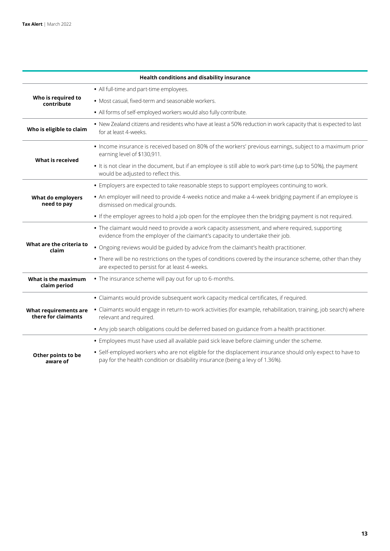|                                              | <b>Health conditions and disability insurance</b>                                                                                                                                          |
|----------------------------------------------|--------------------------------------------------------------------------------------------------------------------------------------------------------------------------------------------|
| Who is required to<br>contribute             | • All full-time and part-time employees.                                                                                                                                                   |
|                                              | · Most casual, fixed-term and seasonable workers.                                                                                                                                          |
|                                              | . All forms of self-employed workers would also fully contribute.                                                                                                                          |
| Who is eligible to claim                     | . New Zealand citizens and residents who have at least a 50% reduction in work capacity that is expected to last<br>for at least 4-weeks.                                                  |
| What is received                             | . Income insurance is received based on 80% of the workers' previous earnings, subject to a maximum prior<br>earning level of \$130,911.                                                   |
|                                              | . It is not clear in the document, but if an employee is still able to work part-time (up to 50%), the payment<br>would be adjusted to reflect this.                                       |
| What do employers<br>need to pay             | • Employers are expected to take reasonable steps to support employees continuing to work.                                                                                                 |
|                                              | • An employer will need to provide 4-weeks notice and make a 4-week bridging payment if an employee is<br>dismissed on medical grounds.                                                    |
|                                              | • If the employer agrees to hold a job open for the employee then the bridging payment is not required.                                                                                    |
|                                              | • The claimant would need to provide a work capacity assessment, and where required, supporting<br>evidence from the employer of the claimant's capacity to undertake their job.           |
| What are the criteria to<br>claim            | . Ongoing reviews would be guided by advice from the claimant's health practitioner.                                                                                                       |
|                                              | . There will be no restrictions on the types of conditions covered by the insurance scheme, other than they<br>are expected to persist for at least 4-weeks.                               |
| What is the maximum<br>claim period          | • The insurance scheme will pay out for up to 6-months.                                                                                                                                    |
| What requirements are<br>there for claimants | • Claimants would provide subsequent work capacity medical certificates, if required.                                                                                                      |
|                                              | · Claimants would engage in return-to-work activities (for example, rehabilitation, training, job search) where<br>relevant and required.                                                  |
|                                              | • Any job search obligations could be deferred based on guidance from a health practitioner.                                                                                               |
| Other points to be<br>aware of               | . Employees must have used all available paid sick leave before claiming under the scheme.                                                                                                 |
|                                              | · Self-employed workers who are not eligible for the displacement insurance should only expect to have to<br>pay for the health condition or disability insurance (being a levy of 1.36%). |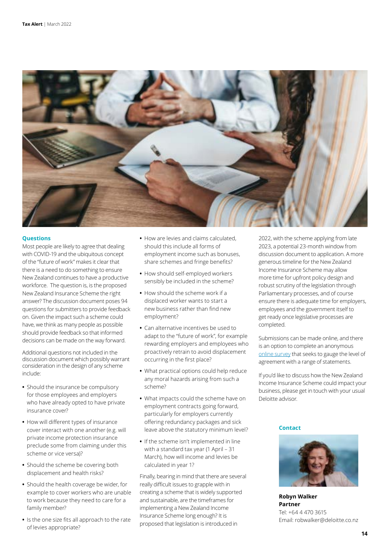

#### **Questions**

Most people are likely to agree that dealing with COVID-19 and the ubiquitous concept of the "future of work" makes it clear that there is a need to do something to ensure New Zealand continues to have a productive workforce. The question is, is the proposed New Zealand Insurance Scheme the right answer? The discussion document poses 94 questions for submitters to provide feedback on. Given the impact such a scheme could have, we think as many people as possible should provide feedback so that informed decisions can be made on the way forward.

Additional questions not included in the discussion document which possibly warrant consideration in the design of any scheme include:

- **•** Should the insurance be compulsory for those employees and employers who have already opted to have private insurance cover?
- **•** How will different types of insurance cover interact with one another (e.g. will private income protection insurance preclude some from claiming under this scheme or vice versa)?
- **•** Should the scheme be covering both displacement and health risks?
- **•** Should the health coverage be wider, for example to cover workers who are unable to work because they need to care for a family member?
- **•** Is the one size fits all approach to the rate of levies appropriate?
- **•** How are levies and claims calculated, should this include all forms of employment income such as bonuses, share schemes and fringe benefits?
- **•** How should self-employed workers sensibly be included in the scheme?
- **•** How should the scheme work if a displaced worker wants to start a new business rather than find new employment?
- **•** Can alternative incentives be used to adapt to the "future of work", for example rewarding employers and employees who proactively retrain to avoid displacement occurring in the first place?
- **•** What practical options could help reduce any moral hazards arising from such a scheme?
- **•** What impacts could the scheme have on employment contracts going forward, particularly for employers currently offering redundancy packages and sick leave above the statutory minimum level?
- **•** If the scheme isn't implemented in line with a standard tax year (1 April – 31 March), how will income and levies be calculated in year 1?

Finally, bearing in mind that there are several really difficult issues to grapple with in creating a scheme that is widely supported and sustainable, are the timeframes for implementing a New Zealand Income Insurance Scheme long enough? It is proposed that legislation is introduced in

2022, with the scheme applying from late 2023, a potential 23-month window from discussion document to application. A more generous timeline for the New Zealand Income Insurance Scheme may allow more time for upfront policy design and robust scrutiny of the legislation through Parliamentary processes, and of course ensure there is adequate time for employers, employees and the government itself to get ready once legislative processes are completed.

Submissions can be made online, and there is an option to complete an anonymous [online survey](https://www.research.net/r/NZIISconsultationsurvey) that seeks to gauge the level of agreement with a range of statements.

If you'd like to discuss how the New Zealand Income Insurance Scheme could impact your business, please get in touch with your usual Deloitte advisor.

#### **Contact**



**Robyn Walker Partner** Tel: +64 4 470 3615 Email: robwalker@deloitte.co.nz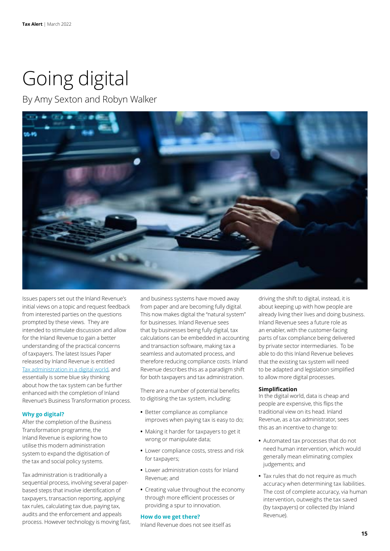# Going digital

By Amy Sexton and Robyn Walker



Issues papers set out the Inland Revenue's initial views on a topic and request feedback from interested parties on the questions prompted by these views. They are intended to stimulate discussion and allow for the Inland Revenue to gain a better understanding of the practical concerns of taxpayers. The latest Issues Paper released by Inland Revenue is entitled [Tax administration in a digital world,](https://taxpolicy.ird.govt.nz/-/media/project/ir/tp/publications/2022/2022-ip-tax-administration-in-digital-world/2022-ip-tax-administration-in-digital-world-pdf.pdf?modified=20220211011330&modified=20220211011330) and essentially is some blue sky thinking about how the tax system can be further enhanced with the completion of Inland Revenue's Business Transformation process.

# **Why go digital?**

After the completion of the Business Transformation programme, the Inland Revenue is exploring how to utilise this modern administration system to expand the digitisation of the tax and social policy systems.

Tax administration is traditionally a sequential process, involving several paperbased steps that involve identification of taxpayers, transaction reporting, applying tax rules, calculating tax due, paying tax, audits and the enforcement and appeals process. However technology is moving fast, and business systems have moved away from paper and are becoming fully digital. This now makes digital the "natural system" for businesses. Inland Revenue sees that by businesses being fully digital, tax calculations can be embedded in accounting and transaction software, making tax a seamless and automated process, and therefore reducing compliance costs. Inland Revenue describes this as a paradigm shift for both taxpayers and tax administration.

There are a number of potential benefits to digitising the tax system, including:

- **•** Better compliance as compliance improves when paying tax is easy to do;
- **•** Making it harder for taxpayers to get it wrong or manipulate data;
- **•** Lower compliance costs, stress and risk for taxpayers;
- **•** Lower administration costs for Inland Revenue; and
- **•** Creating value throughout the economy through more efficient processes or providing a spur to innovation.

#### **How do we get there?**

Inland Revenue does not see itself as

driving the shift to digital, instead, it is about keeping up with how people are already living their lives and doing business. Inland Revenue sees a future role as an enabler, with the customer-facing parts of tax compliance being delivered by private sector intermediaries. To be able to do this Inland Revenue believes that the existing tax system will need to be adapted and legislation simplified to allow more digital processes.

### **Simplification**

In the digital world, data is cheap and people are expensive, this flips the traditional view on its head. Inland Revenue, as a tax administrator, sees this as an incentive to change to:

- **•** Automated tax processes that do not need human intervention, which would generally mean eliminating complex judgements; and
- **•** Tax rules that do not require as much accuracy when determining tax liabilities. The cost of complete accuracy, via human intervention, outweighs the tax saved (by taxpayers) or collected (by Inland Revenue).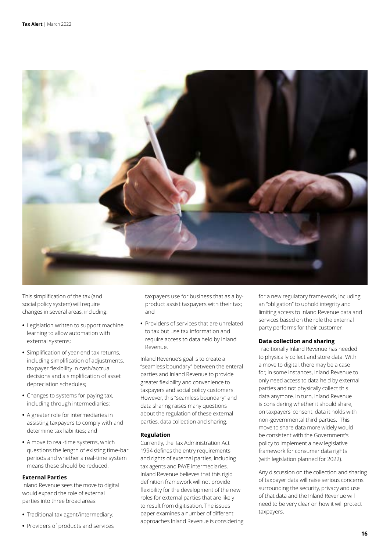

This simplification of the tax (and social policy system) will require changes in several areas, including:

- **•** Legislation written to support machine learning to allow automation with external systems;
- **•** Simplification of year-end tax returns, including simplification of adjustments, taxpayer flexibility in cash/accrual decisions and a simplification of asset depreciation schedules;
- **•** Changes to systems for paying tax, including through intermediaries;
- **•** A greater role for intermediaries in assisting taxpayers to comply with and determine tax liabilities; and
- **•** A move to real-time systems, which questions the length of existing time-bar periods and whether a real-time system means these should be reduced.

# **External Parties**

Inland Revenue sees the move to digital would expand the role of external parties into three broad areas:

- **•** Traditional tax agent/intermediary;
- **•** Providers of products and services

taxpayers use for business that as a byproduct assist taxpayers with their tax; and

**•** Providers of services that are unrelated to tax but use tax information and require access to data held by Inland Revenue.

Inland Revenue's goal is to create a "seamless boundary" between the enteral parties and Inland Revenue to provide greater flexibility and convenience to taxpayers and social policy customers. However, this "seamless boundary" and data sharing raises many questions about the regulation of these external parties, data collection and sharing.

#### **Regulation**

Currently, the Tax Administration Act 1994 defines the entry requirements and rights of external parties, including tax agents and PAYE intermediaries. Inland Revenue believes that this rigid definition framework will not provide flexibility for the development of the new roles for external parties that are likely to result from digitisation. The issues paper examines a number of different approaches Inland Revenue is considering for a new regulatory framework, including an "obligation" to uphold integrity and limiting access to Inland Revenue data and services based on the role the external party performs for their customer.

#### **Data collection and sharing**

Traditionally Inland Revenue has needed to physically collect and store data. With a move to digital, there may be a case for, in some instances, Inland Revenue to only need access to data held by external parties and not physically collect this data anymore. In turn, Inland Revenue is considering whether it should share, on taxpayers' consent, data it holds with non-governmental third parties. This move to share data more widely would be consistent with the Government's policy to implement a new legislative framework for consumer data rights (with legislation planned for 2022).

Any discussion on the collection and sharing of taxpayer data will raise serious concerns surrounding the security, privacy and use of that data and the Inland Revenue will need to be very clear on how it will protect taxpayers.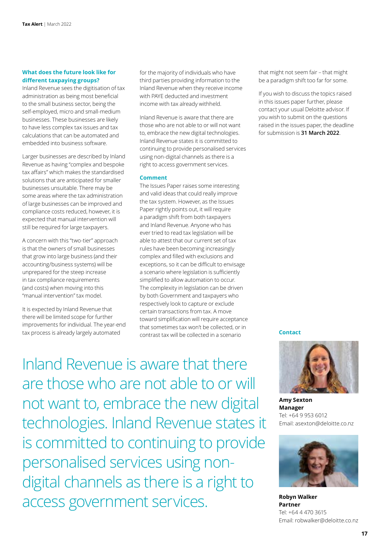#### **What does the future look like for different taxpaying groups?**

Inland Revenue sees the digitisation of tax administration as being most beneficial to the small business sector, being the self-employed, micro and small-medium businesses. These businesses are likely to have less complex tax issues and tax calculations that can be automated and embedded into business software.

Larger businesses are described by Inland Revenue as having "complex and bespoke tax affairs" which makes the standardised solutions that are anticipated for smaller businesses unsuitable. There may be some areas where the tax administration of large businesses can be improved and compliance costs reduced, however, it is expected that manual intervention will still be required for large taxpayers.

A concern with this "two-tier" approach is that the owners of small businesses that grow into large business (and their accounting/business systems) will be unprepared for the steep increase in tax compliance requirements (and costs) when moving into this "manual intervention" tax model.

It is expected by Inland Revenue that there will be limited scope for further improvements for individual. The year-end tax process is already largely automated

for the majority of individuals who have third parties providing information to the Inland Revenue when they receive income with PAYE deducted and investment income with tax already withheld.

Inland Revenue is aware that there are those who are not able to or will not want to, embrace the new digital technologies. Inland Revenue states it is committed to continuing to provide personalised services using non-digital channels as there is a right to access government services.

#### **Comment**

The Issues Paper raises some interesting and valid ideas that could really improve the tax system. However, as the Issues Paper rightly points out, it will require a paradigm shift from both taxpayers and Inland Revenue. Anyone who has ever tried to read tax legislation will be able to attest that our current set of tax rules have been becoming increasingly complex and filled with exclusions and exceptions, so it can be difficult to envisage a scenario where legislation is sufficiently simplified to allow automation to occur. The complexity in legislation can be driven by both Government and taxpayers who respectively look to capture or exclude certain transactions from tax. A move toward simplification will require acceptance that sometimes tax won't be collected, or in contrast tax will be collected in a scenario **Contact**

that might not seem fair – that might be a paradigm shift too far for some.

If you wish to discuss the topics raised in this issues paper further, please contact your usual Deloitte advisor. If you wish to submit on the questions raised in the issues paper, the deadline for submission is **31 March 2022**.



**Amy Sexton Manager** Tel: +64 9 953 6012 Email: asexton@deloitte.co.nz



**Robyn Walker Partner** Tel: +64 4 470 3615 Email: robwalker@deloitte.co.nz

Inland Revenue is aware that there are those who are not able to or will not want to, embrace the new digital technologies. Inland Revenue states it is committed to continuing to provide personalised services using nondigital channels as there is a right to access government services.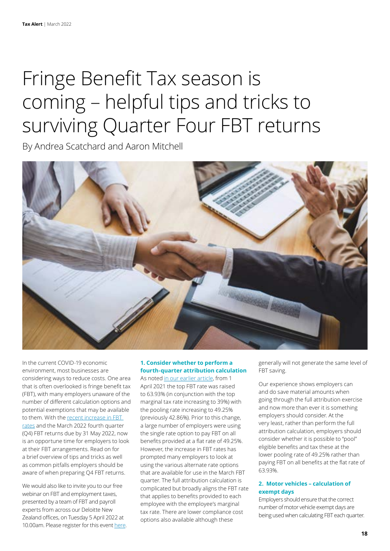# Fringe Benefit Tax season is coming – helpful tips and tricks to surviving Quarter Four FBT returns

By Andrea Scatchard and Aaron Mitchell



In the current COVID-19 economic environment, most businesses are considering ways to reduce costs. One area that is often overlooked is fringe benefit tax (FBT), with many employers unaware of the number of different calculation options and potential exemptions that may be available to them. With the recent increase in FBT [rates](https://www2.deloitte.com/nz/en/pages/tax-alerts/articles/fbt-about-to-increase.html) and the March 2022 fourth quarter (Q4) FBT returns due by 31 May 2022, now is an opportune time for employers to look at their FBT arrangements. Read on for a brief overview of tips and tricks as well as common pitfalls employers should be aware of when preparing Q4 FBT returns.

We would also like to invite you to our free webinar on FBT and employment taxes, presented by a team of FBT and payroll experts from across our Deloitte New Zealand offices, on Tuesday 5 April 2022 at 10.00am. Please register for this event [here.](https://deloitte.zoom.us/webinar/register/WN_zMXqfk4pQPGvXkg31A-Amg)

# **1. Consider whether to perform a fourth-quarter attribution calculation**

As noted [in our earlier article](https://www2.deloitte.com/nz/en/pages/tax-alerts/articles/fbt-about-to-increase.html), from 1 April 2021 the top FBT rate was raised to 63.93% (in conjunction with the top marginal tax rate increasing to 39%) with the pooling rate increasing to 49.25% (previously 42.86%). Prior to this change, a large number of employers were using the single rate option to pay FBT on all benefits provided at a flat rate of 49.25%. However, the increase in FBT rates has prompted many employers to look at using the various alternate rate options that are available for use in the March FBT quarter. The full attribution calculation is complicated but broadly aligns the FBT rate that applies to benefits provided to each employee with the employee's marginal tax rate. There are lower compliance cost options also available although these

generally will not generate the same level of FBT saving.

Our experience shows employers can and do save material amounts when going through the full attribution exercise and now more than ever it is something employers should consider. At the very least, rather than perform the full attribution calculation, employers should consider whether it is possible to "pool" eligible benefits and tax these at the lower pooling rate of 49.25% rather than paying FBT on all benefits at the flat rate of 63.93%.

# **2. Motor vehicles – calculation of exempt days**

Employers should ensure that the correct number of motor vehicle exempt days are being used when calculating FBT each quarter.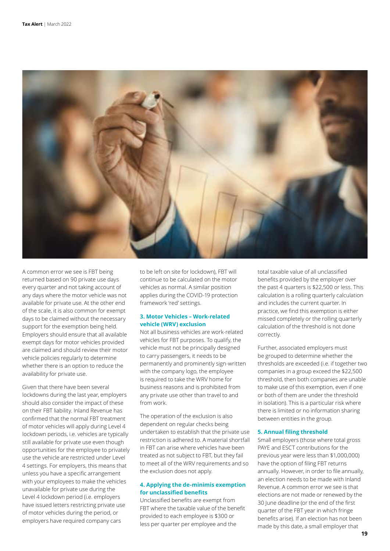

A common error we see is FBT being returned based on 90 private use days every quarter and not taking account of any days where the motor vehicle was not available for private use. At the other end of the scale, it is also common for exempt days to be claimed without the necessary support for the exemption being held. Employers should ensure that all available exempt days for motor vehicles provided are claimed and should review their motor vehicle policies regularly to determine whether there is an option to reduce the availability for private use.

Given that there have been several lockdowns during the last year, employers should also consider the impact of these on their FBT liability. Inland Revenue has confirmed that the normal FBT treatment of motor vehicles will apply during Level 4 lockdown periods, i.e. vehicles are typically still available for private use even though opportunities for the employee to privately use the vehicle are restricted under Level 4 settings. For employers, this means that unless you have a specific arrangement with your employees to make the vehicles unavailable for private use during the Level 4 lockdown period (i.e. employers have issued letters restricting private use of motor vehicles during the period, or employers have required company cars

to be left on site for lockdown), FBT will continue to be calculated on the motor vehicles as normal. A similar position applies during the COVID-19 protection framework 'red' settings.

# **3. Motor Vehicles – Work-related vehicle (WRV) exclusion**

Not all business vehicles are work-related vehicles for FBT purposes. To qualify, the vehicle must not be principally designed to carry passengers, it needs to be permanently and prominently sign-written with the company logo, the employee is required to take the WRV home for business reasons and is prohibited from any private use other than travel to and from work.

The operation of the exclusion is also dependent on regular checks being undertaken to establish that the private use restriction is adhered to. A material shortfall in FBT can arise where vehicles have been treated as not subject to FBT, but they fail to meet all of the WRV requirements and so the exclusion does not apply.

### **4. Applying the de-minimis exemption for unclassified benefits**

Unclassified benefits are exempt from FBT where the taxable value of the benefit provided to each employee is \$300 or less per quarter per employee and the

total taxable value of all unclassified benefits provided by the employer over the past 4 quarters is \$22,500 or less. This calculation is a rolling quarterly calculation and includes the current quarter. In practice, we find this exemption is either missed completely or the rolling quarterly calculation of the threshold is not done correctly.

Further, associated employers must be grouped to determine whether the thresholds are exceeded (i.e. if together two companies in a group exceed the \$22,500 threshold, then both companies are unable to make use of this exemption, even if one or both of them are under the threshold in isolation). This is a particular risk where there is limited or no information sharing between entities in the group.

#### **5. Annual filing threshold**

Small employers (those where total gross PAYE and ESCT contributions for the previous year were less than \$1,000,000) have the option of filing FBT returns annually. However, in order to file annually, an election needs to be made with Inland Revenue. A common error we see is that elections are not made or renewed by the 30 June deadline (or the end of the first quarter of the FBT year in which fringe benefits arise). If an election has not been made by this date, a small employer that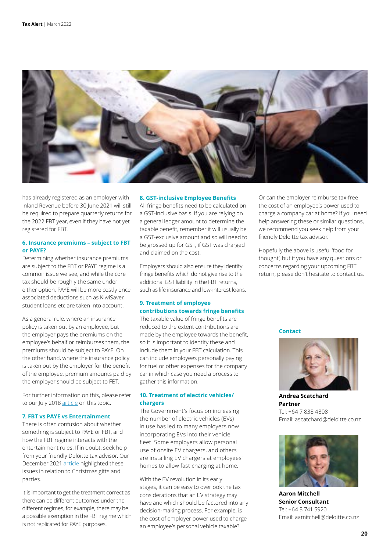

has already registered as an employer with Inland Revenue before 30 June 2021 will still be required to prepare quarterly returns for the 2022 FBT year, even if they have not yet registered for FBT.

# **6. Insurance premiums – subject to FBT or PAYE?**

Determining whether insurance premiums are subject to the FBT or PAYE regime is a common issue we see, and while the core tax should be roughly the same under either option, PAYE will be more costly once associated deductions such as KiwiSaver, student loans etc are taken into account.

As a general rule, where an insurance policy is taken out by an employee, but the employer pays the premiums on the employee's behalf or reimburses them, the premiums should be subject to PAYE. On the other hand, where the insurance policy is taken out by the employer for the benefit of the employee, premium amounts paid by the employer should be subject to FBT.

For further information on this, please refer to our July 2018 [article](https://www2.deloitte.com/nz/en/pages/tax-alerts/articles/do-employee-health-insurance-premium-payments-go-through-fbt-or-paye.html) on this topic.

#### **7. FBT vs PAYE vs Entertainment**

There is often confusion about whether something is subject to PAYE or FBT, and how the FBT regime interacts with the entertainment rules. If in doubt, seek help from your friendly Deloitte tax advisor. Our December 2021 [article](https://www2.deloitte.com/nz/en/pages/tax-alerts/articles/physical-or-virtual-christmas-celebrations-what-employers-need-to-remember.html) highlighted these issues in relation to Christmas gifts and parties.

It is important to get the treatment correct as there can be different outcomes under the different regimes, for example, there may be a possible exemption in the FBT regime which is not replicated for PAYE purposes.

#### **8. GST-inclusive Employee Benefits**

All fringe benefits need to be calculated on a GST-inclusive basis. If you are relying on a general ledger amount to determine the taxable benefit, remember it will usually be a GST-exclusive amount and so will need to be grossed up for GST, if GST was charged and claimed on the cost.

Employers should also ensure they identify fringe benefits which do not give rise to the additional GST liability in the FBT returns, such as life insurance and low-interest loans.

# **9. Treatment of employee contributions towards fringe benefits**

The taxable value of fringe benefits are reduced to the extent contributions are made by the employee towards the benefit, so it is important to identify these and include them in your FBT calculation. This can include employees personally paying for fuel or other expenses for the company car in which case you need a process to gather this information.

# **10. Treatment of electric vehicles/ chargers**

The Government's focus on increasing the number of electric vehicles (EVs) in use has led to many employers now incorporating EVs into their vehicle fleet. Some employers allow personal use of onsite EV chargers, and others are installing EV chargers at employees' homes to allow fast charging at home.

With the EV revolution in its early stages, it can be easy to overlook the tax considerations that an EV strategy may have and which should be factored into any decision-making process. For example, is the cost of employer power used to charge an employee's personal vehicle taxable?

Or can the employer reimburse tax-free the cost of an employee's power used to charge a company car at home? If you need help answering these or similar questions, we recommend you seek help from your friendly Deloitte tax advisor.

Hopefully the above is useful 'food for thought', but if you have any questions or concerns regarding your upcoming FBT return, please don't hesitate to contact us.

#### **Contact**



**Andrea Scatchard Partner** Tel: +64 7 838 4808 Email: ascatchard@deloitte.co.nz



**Aaron Mitchell Senior Consultant** Tel: +64 3 741 5920 Email: aamitchell@deloitte.co.nz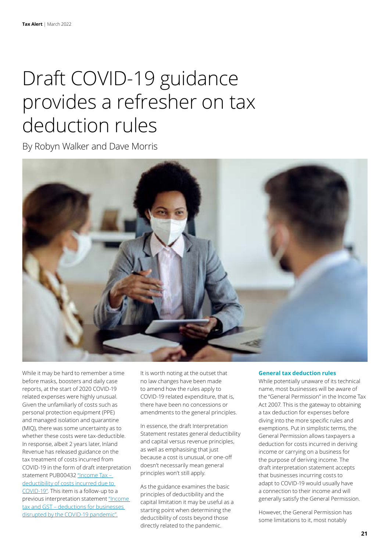# Draft COVID-19 guidance provides a refresher on tax deduction rules

By Robyn Walker and Dave Morris



While it may be hard to remember a time before masks, boosters and daily case reports, at the start of 2020 COVID-19 related expenses were highly unusual. Given the unfamiliarly of costs such as personal protection equipment (PPE) and managed isolation and quarantine (MIQ), there was some uncertainty as to whether these costs were tax-deductible. In response, albeit 2 years later, Inland Revenue has released guidance on the tax treatment of costs incurred from COVID-19 in the form of draft interpretation statement PUB00432 ["Income Tax –](https://www.taxtechnical.ird.govt.nz/consultations/draft-items/pub00432)  [deductibility of costs incurred due to](https://www.taxtechnical.ird.govt.nz/consultations/draft-items/pub00432)  [COVID-19".](https://www.taxtechnical.ird.govt.nz/consultations/draft-items/pub00432) This item is a follow-up to a previous interpretation statement ["Income](https://www.taxtechnical.ird.govt.nz/-/media/project/ir/tt/pdfs/interpretation-statements/2021/is-21-04.pdf)  [tax and GST – deductions for businesses](https://www.taxtechnical.ird.govt.nz/-/media/project/ir/tt/pdfs/interpretation-statements/2021/is-21-04.pdf)  [disrupted by the COVID-19 pandemic".](https://www.taxtechnical.ird.govt.nz/-/media/project/ir/tt/pdfs/interpretation-statements/2021/is-21-04.pdf)

It is worth noting at the outset that no law changes have been made to amend how the rules apply to COVID-19 related expenditure, that is, there have been no concessions or amendments to the general principles.

In essence, the draft Interpretation Statement restates general deductibility and capital versus revenue principles, as well as emphasising that just because a cost is unusual, or one-off doesn't necessarily mean general principles won't still apply.

As the guidance examines the basic principles of deductibility and the capital limitation it may be useful as a starting point when determining the deductibility of costs beyond those directly related to the pandemic.

### **General tax deduction rules**

While potentially unaware of its technical name, most businesses will be aware of the "General Permission" in the Income Tax Act 2007. This is the gateway to obtaining a tax deduction for expenses before diving into the more specific rules and exemptions. Put in simplistic terms, the General Permission allows taxpayers a deduction for costs incurred in deriving income or carrying on a business for the purpose of deriving income. The draft interpretation statement accepts that businesses incurring costs to adapt to COVID-19 would usually have a connection to their income and will generally satisfy the General Permission.

However, the General Permission has some limitations to it, most notably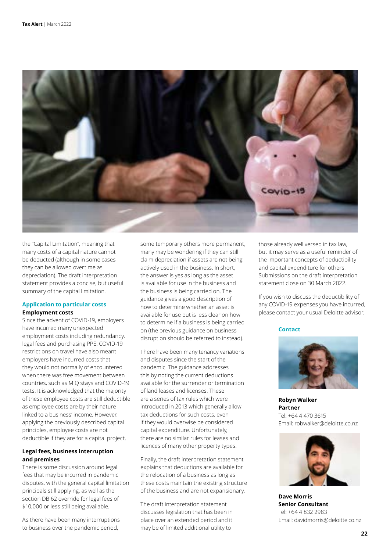

the "Capital Limitation", meaning that many costs of a capital nature cannot be deducted (although in some cases they can be allowed overtime as depreciation). The draft interpretation statement provides a concise, but useful summary of the capital limitation.

# **Application to particular costs Employment costs**

Since the advent of COVID-19, employers have incurred many unexpected employment costs including redundancy, legal fees and purchasing PPE. COVID-19 restrictions on travel have also meant employers have incurred costs that they would not normally of encountered when there was free movement between countries, such as MIQ stays and COVID-19 tests. It is acknowledged that the majority of these employee costs are still deductible as employee costs are by their nature linked to a business' income. However, applying the previously described capital principles, employee costs are not deductible if they are for a capital project.

### **Legal fees, business interruption and premises**

There is some discussion around legal fees that may be incurred in pandemic disputes, with the general capital limitation principals still applying, as well as the section DB 62 override for legal fees of \$10,000 or less still being available.

As there have been many interruptions to business over the pandemic period,

some temporary others more permanent, many may be wondering if they can still claim depreciation if assets are not being actively used in the business. In short, the answer is yes as long as the asset is available for use in the business and the business is being carried on. The guidance gives a good description of how to determine whether an asset is available for use but is less clear on how to determine if a business is being carried on (the previous guidance on business disruption should be referred to instead).

There have been many tenancy variations and disputes since the start of the pandemic. The guidance addresses this by noting the current deductions available for the surrender or termination of land leases and licenses. These are a series of tax rules which were introduced in 2013 which generally allow tax deductions for such costs, even if they would overwise be considered capital expenditure. Unfortunately, there are no similar rules for leases and licences of many other property types.

Finally, the draft interpretation statement explains that deductions are available for the relocation of a business as long as these costs maintain the existing structure of the business and are not expansionary.

The draft interpretation statement discusses legislation that has been in place over an extended period and it may be of limited additional utility to

those already well versed in tax law, but it may serve as a useful reminder of the important concepts of deductibility and capital expenditure for others. Submissions on the draft interpretation statement close on 30 March 2022.

If you wish to discuss the deductibility of any COVID-19 expenses you have incurred, please contact your usual Deloitte advisor.

### **Contact**



**Robyn Walker Partner** Tel: +64 4 470 3615 Email: robwalker@deloitte.co.nz



**Dave Morris Senior Consultant** Tel: +64 4 832 2983 Email: davidmorris@deloitte.co.nz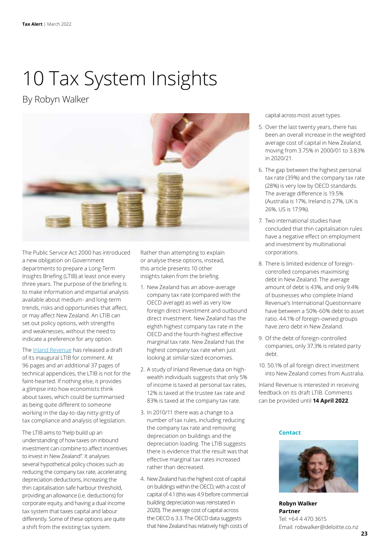# 10 Tax System Insights

By Robyn Walker



The Public Service Act 2000 has introduced a new obligation on Government departments to prepare a Long-Term Insights Briefing (LTIB) at least once every three years. The purpose of the briefing is to make information and impartial analysis available about medium- and long-term trends, risks and opportunities that affect, or may affect New Zealand. An LTIB can set out policy options, with strengths and weaknesses, without the need to indicate a preference for any option.

The [Inland Revenue](https://taxpolicy.ird.govt.nz/publications/2022/2022-other-draft-ltib) has released a draft of its inaugural LTIB for comment. At 96 pages and an additional 37 pages of technical appendices, the LTIB is not for the faint-hearted. If nothing else, it provides a glimpse into how economists think about taxes, which could be summarised as being quite different to someone working in the day-to-day nitty-gritty of tax compliance and analysis of legislation.

The LTIB aims to "help build up an understanding of how taxes on inbound investment can combine to affect incentives to invest in New Zealand". It analyses several hypothetical policy choices such as reducing the company tax rate, accelerating depreciation deductions, increasing the thin capitalisation safe harbour threshold, providing an allowance (i.e. deductions) for corporate equity, and having a dual income tax system that taxes capital and labour differently. Some of these options are quite a shift from the existing tax system.

Rather than attempting to explain or analyse these options, instead, this article presents 10 other insights taken from the briefing.

- 1. New Zealand has an above-average company tax rate (compared with the OECD average) as well as very low foreign direct investment and outbound direct investment. New Zealand has the eighth highest company tax rate in the OECD and the fourth-highest effective marginal tax rate. New Zealand has the highest company tax rate when just looking at similar-sized economies.
- 2. A study of Inland Revenue data on highwealth individuals suggests that only 5% of income is taxed at personal tax rates, 12% is taxed at the trustee tax rate and 83% is taxed at the company tax rate.
- 3. In 2010/11 there was a change to a number of tax rules, including reducing the company tax rate and removing depreciation on buildings and the depreciation loading. The LTIB suggests there is evidence that the result was that effective marginal tax rates increased rather than decreased.
- 4. New Zealand has the highest cost of capital on buildings within the OECD, with a cost of capital of 4.1 (this was 4.9 before commercial building depreciation was reinstated in 2020). The average cost of capital across the OECD is 3.3. The OECD data suggests that New Zealand has relatively high costs of

capital across most asset types.

- 5. Over the last twenty years, there has been an overall increase in the weighted average cost of capital in New Zealand, moving from 3.75% in 2000/01 to 3.83% in 2020/21.
- 6. The gap between the highest personal tax rate (39%) and the company tax rate (28%) is very low by OECD standards. The average difference is 19.5% (Australia is 17%, Ireland is 27%, UK is 26%, US is 17.9%).
- 7. Two international studies have concluded that thin capitalisation rules have a negative effect on employment and investment by multinational corporations.
- 8. There is limited evidence of foreigncontrolled companies maximising debt in New Zealand. The average amount of debt is 43%, and only 9.4% of businesses who complete Inland Revenue's International Questionnaire have between a 50%-60% debt to asset ratio. 44.1% of foreign-owned groups have zero debt in New Zealand.
- 9. Of the debt of foreign-controlled companies, only 37.3% is related party debt.
- 10. 50.1% of all foreign direct investment into New Zealand comes from Australia.

Inland Revenue is interested in receiving feedback on its draft LTIB. Comments can be provided until **14 April 2022**.

#### **Contact**



**Robyn Walker Partner** Tel: +64 4 470 3615 Email: robwalker@deloitte.co.nz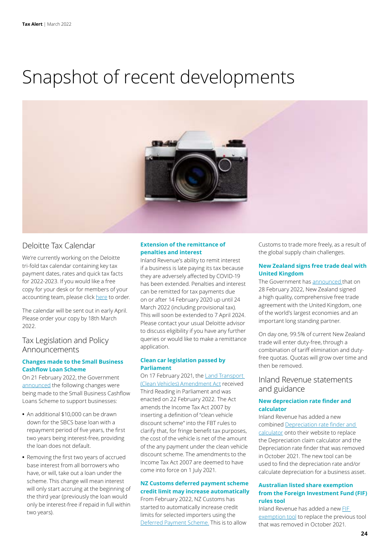# Snapshot of recent developments



# Deloitte Tax Calendar

We're currently working on the Deloitte tri-fold tax calendar containing key tax payment dates, rates and quick tax facts for 2022-2023. If you would like a free copy for your desk or for members of your accounting team, please click [here](https://www.surveymonkey.com/r/XP37LLN) to order.

The calendar will be sent out in early April. Please order your copy by 18th March 2022.

# Tax Legislation and Policy Announcements

# **Changes made to the Small Business Cashflow Loan Scheme**

On 21 February 2022, the Government [announced](https://www.beehive.govt.nz/release/new-financial-support-businesses-affected-omicron) the following changes were being made to the Small Business Cashflow Loans Scheme to support businesses:

- **•** An additional \$10,000 can be drawn down for the SBCS base loan with a repayment period of five years, the first two years being interest-free, providing the loan does not default.
- **•** Removing the first two years of accrued base interest from all borrowers who have, or will, take out a loan under the scheme. This change will mean interest will only start accruing at the beginning of the third year (previously the loan would only be interest-free if repaid in full within two years).

# **Extension of the remittance of penalties and interest**

Inland Revenue's ability to remit interest if a business is late paying its tax because they are adversely affected by COVID-19 has been extended. Penalties and interest can be remitted for tax payments due on or after 14 February 2020 up until 24 March 2022 (including provisional tax). This will soon be extended to 7 April 2024. Please contact your usual Deloitte advisor to discuss eligibility if you have any further queries or would like to make a remittance application.

# **Clean car legislation passed by Parliament**

On 17 February 2021, the Land Transport [\(Clean Vehicles\) Amendment Act](https://www.legislation.govt.nz/act/public/2022/0002/latest/LMS536273.html) received Third Reading in Parliament and was enacted on 22 February 2022. The Act amends the Income Tax Act 2007 by inserting a definition of "clean vehicle discount scheme" into the FBT rules to clarify that, for fringe benefit tax purposes, the cost of the vehicle is net of the amount of the any payment under the clean vehicle discount scheme. The amendments to the Income Tax Act 2007 are deemed to have come into force on 1 July 2021.

#### **NZ Customs deferred payment scheme credit limit may increase automatically**

From February 2022, NZ Customs has started to automatically increase credit limits for selected importers using the [Deferred Payment Scheme.](https://www.customs.govt.nz/business/paying-customs---business/broker-with-a-deferred-account/faqs/) This is to allow Customs to trade more freely, as a result of the global supply chain challenges.

# **New Zealand signs free trade deal with United Kingdom**

The Government has [announced t](http://New Zealand signs free trade deal with United Kingdom
The Government has announced that on 28 February 2022, New Zealand signed a high quality, comprehensive free trade agreement with the United Kingdom, one of the world’s largest economies and an important long standing partner.

On day one, 99.5% of current New Zealand trade will enter duty-free, through a combination of tariff elimination and duty-free quotas. Quotas will grow over time and then be removed.
)hat on 28 February 2022, New Zealand signed a high quality, comprehensive free trade agreement with the United Kingdom, one of the world's largest economies and an important long standing partner.

On day one, 99.5% of current New Zealand trade will enter duty-free, through a combination of tariff elimination and dutyfree quotas. Quotas will grow over time and then be removed.

# Inland Revenue statements and guidance

### **New depreciation rate finder and calculator**

Inland Revenue has added a new combined [Depreciation rate finder and](https://www.ird.govt.nz/income-tax/income-tax-for-businesses-and-organisations/types-of-business-expenses/depreciation/claiming-depreciation/work-out-your-assets-rate-and-depreciation-value)  [calculator](https://www.ird.govt.nz/income-tax/income-tax-for-businesses-and-organisations/types-of-business-expenses/depreciation/claiming-depreciation/work-out-your-assets-rate-and-depreciation-value) onto their website to replace the Depreciation claim calculator and the Depreciation rate finder that was removed in October 2021. The new tool can be used to find the depreciation rate and/or calculate depreciation for a business asset.

# **Australian listed share exemption from the Foreign Investment Fund (FIF) rules tool**

Inland Revenue has added a new [FIF](https://www.ird.govt.nz/income-tax/income-tax-for-businesses-and-organisations/types-of-business-income/foreign-investment-funds-fifs/foreign-investment-fund-rules-exemptions/check-if-australian-shares-are-exempt-from-foreign-investment-fund-rules)  [exemption tool](https://www.ird.govt.nz/income-tax/income-tax-for-businesses-and-organisations/types-of-business-income/foreign-investment-funds-fifs/foreign-investment-fund-rules-exemptions/check-if-australian-shares-are-exempt-from-foreign-investment-fund-rules) to replace the previous tool that was removed in October 2021.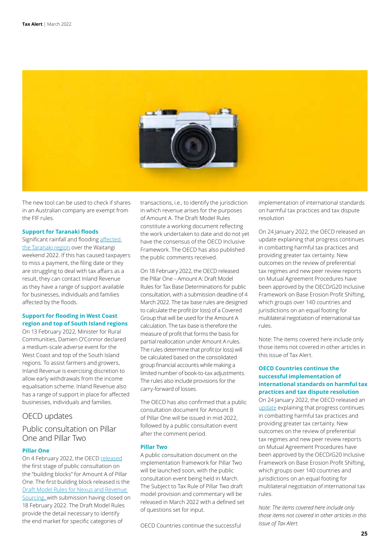

The new tool can be used to check if shares in an Australian company are exempt from the FIF rules.

#### **Support for Taranaki floods**

Significant rainfall and flooding [affected](https://www.ird.govt.nz/updates/news-folder/support-for-taranaki-floods)  [the Taranaki region](https://www.ird.govt.nz/updates/news-folder/support-for-taranaki-floods) over the Waitangi weekend 2022. If this has caused taxpayers to miss a payment, the filing date or they are struggling to deal with tax affairs as a result, they can contact Inland Revenue as they have a range of support available for businesses, individuals and families affected by the floods.

# **Support for flooding in West Coast region and top of South Island regions**

On 13 February 2022, Minister for Rural Communities, Damien O'Connor declared a medium-scale adverse event for the West Coast and top of the South Island regions. To assist farmers and growers, Inland Revenue is exercising discretion to allow early withdrawals from the income equalisation scheme. Inland Revenue also has a range of support in place for affected businesses, individuals and families.

# OECD updates

# Public consultation on Pillar One and Pillar Two

# **Pillar One**

On 4 February 2022, the OECD [released](https://www.oecd.org/tax/beps/oecd-launches-public-consultation-on-the-tax-challenges-of-digitalisation-with-the-release-of-a-first-building-block-under-pillar-one.htm) the first stage of public consultation on the "building blocks" for Amount A of Pillar One. The first building block released is the [Draft Model Rules for Nexus and Revenue](https://www.oecd.org/tax/beps/public-consultation-document-pillar-one-amount-a-tax-base-determinations.pdf)  [Sourcing, w](https://www.oecd.org/tax/beps/public-consultation-document-pillar-one-amount-a-tax-base-determinations.pdf)ith submission having closed on 18 February 2022. The Draft Model Rules provide the detail necessary to identify the end market for specific categories of

transactions, i.e., to identify the jurisdiction in which revenue arises for the purposes of Amount A. The Draft Model Rules constitute a working document reflecting the work undertaken to date and do not yet have the consensus of the OECD Inclusive Framework. The OECD has also published the public comments received.

On 18 February 2022, the OECD released the Pillar One – Amount A: Draft Model Rules for Tax Base Determinations for public consultation, with a submission deadline of 4 March 2022. The tax base rules are designed to calculate the profit (or loss) of a Covered Group that will be used for the Amount A calculation. The tax base is therefore the measure of profit that forms the basis for partial reallocation under Amount A rules. The rules determine that profit (or loss) will be calculated based on the consolidated group financial accounts while making a limited number of book-to-tax adjustments. The rules also include provisions for the carry-forward of losses.

The OECD has also confirmed that a public consultation document for Amount B of Pillar One will be issued in mid-2022, followed by a public consultation event after the comment period.

#### **Pillar Two**

A public consultation document on the implementation framework for Pillar Two will be launched soon, with the public consultation event being held in March. The Subject to Tax Rule of Pillar Two draft model provision and commentary will be released in March 2022 with a defined set of questions set for input.

OECD Countries continue the successful

implementation of international standards on harmful tax practices and tax dispute resolution

On 24 January 2022, the OECD released an update explaining that progress continues in combatting harmful tax practices and providing greater tax certainty. New outcomes on the review of preferential tax regimes and new peer review reports on Mutual Agreement Procedures have been approved by the OECD/G20 Inclusive Framework on Base Erosion Profit Shifting, which groups over 140 countries and jurisdictions on an equal footing for multilateral negotiation of international tax rules.

Note: The items covered here include only those items not covered in other articles in this issue of Tax Alert.

# **OECD Countries continue the successful implementation of international standards on harmful tax practices and tax dispute resolution**

On 24 January 2022, the OECD released an [update](https://www.oecd.org/tax/countries-continue-the-successful-implementation-of-international-standards-on-harmful-tax-practices-and-tax-dispute-resolution.htm) explaining that progress continues in combatting harmful tax practices and providing greater tax certainty. New outcomes on the review of preferential tax regimes and new peer review reports on Mutual Agreement Procedures have been approved by the OECD/G20 Inclusive Framework on Base Erosion Profit Shifting, which groups over 140 countries and jurisdictions on an equal footing for multilateral negotiation of international tax rules.

*Note: The items covered here include only those items not covered in other articles in this issue of Tax Alert.*